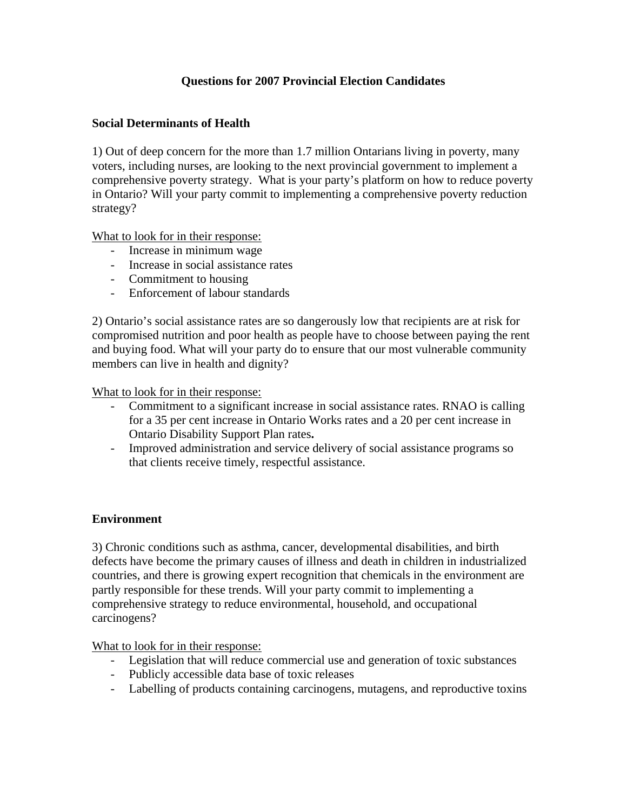## **Questions for 2007 Provincial Election Candidates**

### **Social Determinants of Health**

1) Out of deep concern for the more than 1.7 million Ontarians living in poverty, many voters, including nurses, are looking to the next provincial government to implement a comprehensive poverty strategy. What is your party's platform on how to reduce poverty in Ontario? Will your party commit to implementing a comprehensive poverty reduction strategy?

What to look for in their response:

- Increase in minimum wage
- Increase in social assistance rates
- Commitment to housing
- Enforcement of labour standards

2) Ontario's social assistance rates are so dangerously low that recipients are at risk for compromised nutrition and poor health as people have to choose between paying the rent and buying food. What will your party do to ensure that our most vulnerable community members can live in health and dignity?

What to look for in their response:

- Commitment to a significant increase in social assistance rates. RNAO is calling for a 35 per cent increase in Ontario Works rates and a 20 per cent increase in Ontario Disability Support Plan rates**.**
- Improved administration and service delivery of social assistance programs so that clients receive timely, respectful assistance.

#### **Environment**

3) Chronic conditions such as asthma, cancer, developmental disabilities, and birth defects have become the primary causes of illness and death in children in industrialized countries, and there is growing expert recognition that chemicals in the environment are partly responsible for these trends. Will your party commit to implementing a comprehensive strategy to reduce environmental, household, and occupational carcinogens?

What to look for in their response:

- Legislation that will reduce commercial use and generation of toxic substances
- Publicly accessible data base of toxic releases
- Labelling of products containing carcinogens, mutagens, and reproductive toxins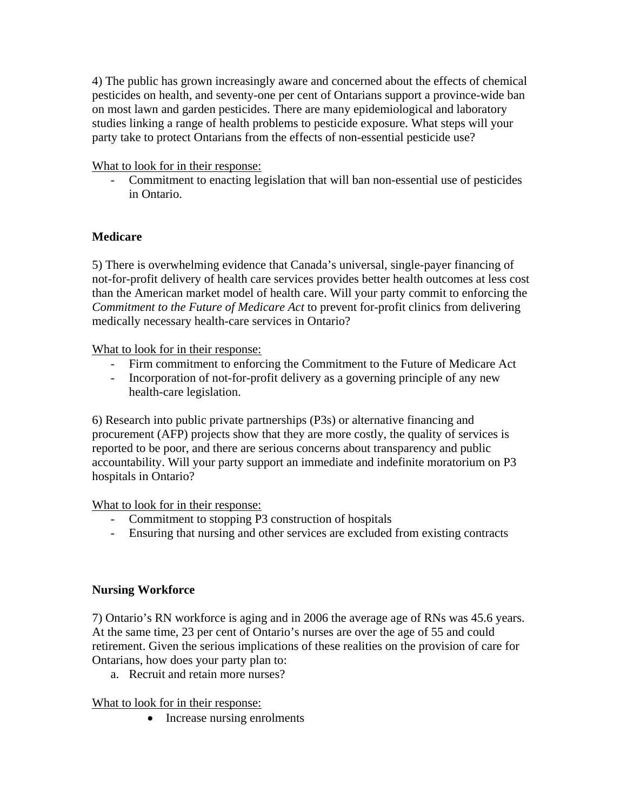4) The public has grown increasingly aware and concerned about the effects of chemical pesticides on health, and seventy-one per cent of Ontarians support a province-wide ban on most lawn and garden pesticides. There are many epidemiological and laboratory studies linking a range of health problems to pesticide exposure. What steps will your party take to protect Ontarians from the effects of non-essential pesticide use?

What to look for in their response:

- Commitment to enacting legislation that will ban non-essential use of pesticides in Ontario.

## **Medicare**

5) There is overwhelming evidence that Canada's universal, single-payer financing of not-for-profit delivery of health care services provides better health outcomes at less cost than the American market model of health care. Will your party commit to enforcing the *Commitment to the Future of Medicare Act* to prevent for-profit clinics from delivering medically necessary health-care services in Ontario?

What to look for in their response:

- Firm commitment to enforcing the Commitment to the Future of Medicare Act
- Incorporation of not-for-profit delivery as a governing principle of any new health-care legislation.

6) Research into public private partnerships (P3s) or alternative financing and procurement (AFP) projects show that they are more costly, the quality of services is reported to be poor, and there are serious concerns about transparency and public accountability. Will your party support an immediate and indefinite moratorium on P3 hospitals in Ontario?

What to look for in their response:

- Commitment to stopping P3 construction of hospitals
- Ensuring that nursing and other services are excluded from existing contracts

## **Nursing Workforce**

7) Ontario's RN workforce is aging and in 2006 the average age of RNs was 45.6 years. At the same time, 23 per cent of Ontario's nurses are over the age of 55 and could retirement. Given the serious implications of these realities on the provision of care for Ontarians, how does your party plan to:

a. Recruit and retain more nurses?

## What to look for in their response:

• Increase nursing enrolments